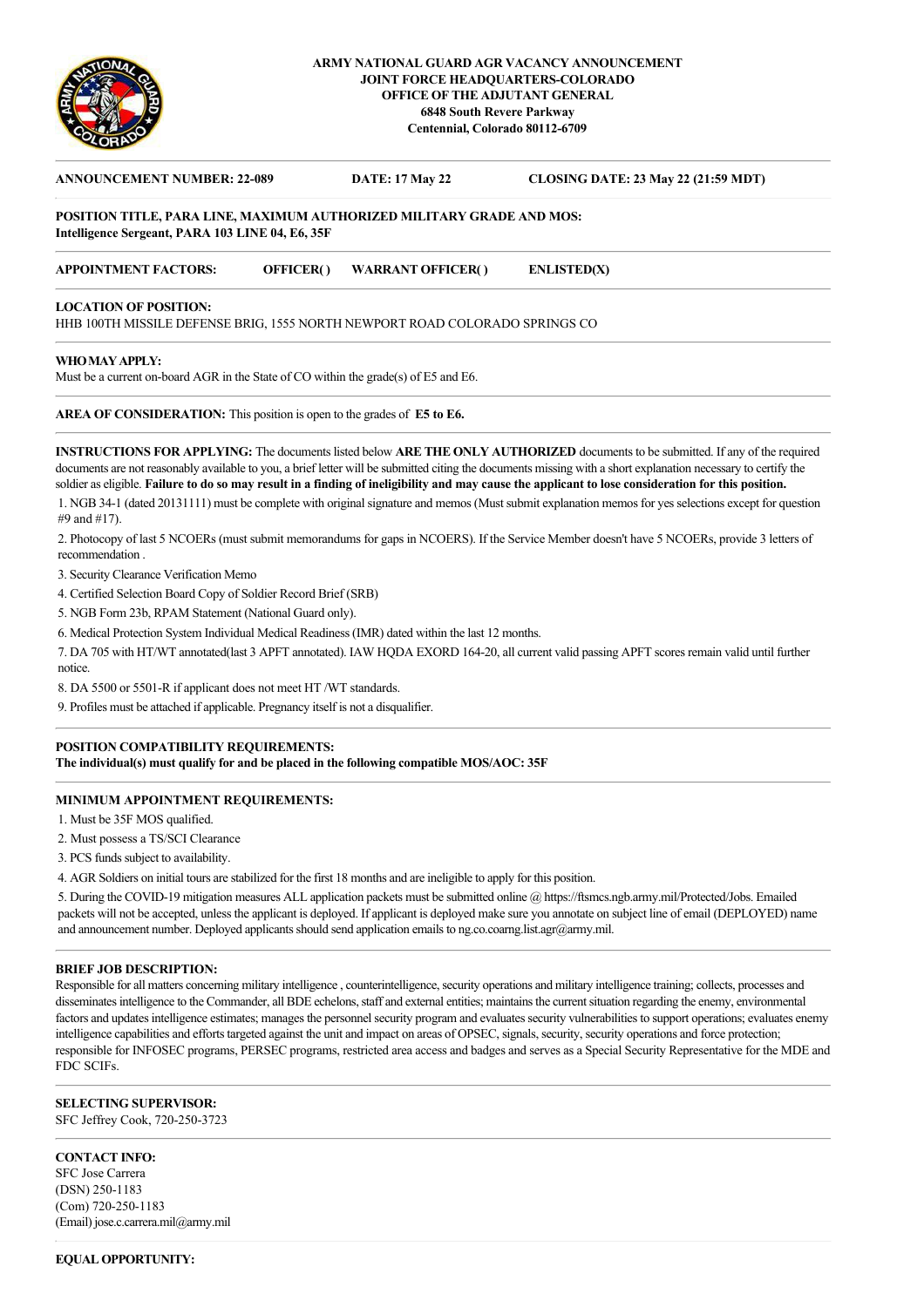

## **ARMY NATIONAL GUARD AGR VACANCY ANNOUNCEMENT JOINT FORCE HEADQUARTERS-COLORADO OFFICE OF THE ADJUTANT GENERAL 6848 South Revere Parkway Centennial, Colorado 80112-6709**

# **ANNOUNCEMENT NUMBER: 22-089 DATE: 17 May 22 CLOSING DATE: 23 May 22 (21:59 MDT) POSITION TITLE, PARA LINE, MAXIMUM AUTHORIZED MILITARY GRADE AND MOS: Intelligence Sergeant, PARA 103 LINE 04, E6, 35F APPOINTMENT FACTORS: OFFICER( ) WARRANT OFFICER( ) ENLISTED(X)**

### **LOCATION OF POSITION:**

HHB 100TH MISSILE DEFENSE BRIG, 1555 NORTH NEWPORT ROAD COLORADO SPRINGS CO

### **WHO MAY APPLY:**

Must be a current on-board AGR in the State of CO within the grade(s) of E5 and E6.

**AREA OF CONSIDERATION:** This position is open to the grades of **E5 to E6.**

**INSTRUCTIONS FOR APPLYING:** The documents listed below **ARE THE ONLY AUTHORIZED** documents to be submitted. If any of the required documents are not reasonably available to you, a brief letter will be submitted citing the documents missing with a short explanation necessary to certify the soldier as eligible. **Failure to do so may result in a finding of ineligibility and may cause the applicant to lose consideration for this position.** 1. NGB 34-1 (dated 20131111) must be complete with original signature and memos (Must submit explanation memos for yes selections except for question #9 and #17).

2. Photocopy of last 5 NCOERs (must submit memorandums for gaps in NCOERS). If the Service Member doesn't have 5 NCOERs, provide 3 letters of recommendation .

3. Security Clearance Verification Memo

4. Certified Selection Board Copy of Soldier Record Brief (SRB)

5. NGB Form 23b, RPAM Statement (National Guard only).

6. Medical Protection System Individual Medical Readiness (IMR) dated within the last 12 months.

7. DA 705 with HT/WT annotated(last 3 APFT annotated). IAW HQDA EXORD 164-20, all current valid passing APFT scores remain valid until further notice.

8. DA 5500 or 5501-R if applicant does not meet HT /WT standards.

9. Profiles must be attached if applicable. Pregnancy itself is not a disqualifier.

# **POSITION COMPATIBILITY REQUIREMENTS:**

**The individual(s) must qualify for and be placed in the following compatible MOS/AOC: 35F**

## **MINIMUM APPOINTMENT REQUIREMENTS:**

1. Must be 35F MOS qualified.

2. Must possess a TS/SCI Clearance

3. PCS funds subject to availability.

4. AGR Soldiers on initial tours are stabilized for the first 18 months and are ineligible to apply for this position.

5. During the COVID-19 mitigation measures ALL application packets must be submitted online @ https://ftsmcs.ngb.army.mil/Protected/Jobs. Emailed packets will not be accepted, unless the applicant is deployed. If applicant is deployed make sure you annotate on subject line of email (DEPLOYED) name and announcement number. Deployed applicants should send application emails to ng.co.coarng.list.agr@army.mil.

#### **BRIEF JOB DESCRIPTION:**

Responsible for all matters concerning military intelligence , counterintelligence, security operations and military intelligence training; collects, processes and disseminates intelligence to the Commander, all BDE echelons, staff and external entities; maintains the current situation regarding the enemy, environmental factors and updates intelligence estimates; manages the personnel security program and evaluates security vulnerabilities to support operations; evaluates enemy intelligence capabilities and efforts targeted against the unit and impact on areas of OPSEC, signals, security, security operations and force protection; responsible for INFOSEC programs, PERSEC programs, restricted area access and badges and serves as a Special Security Representative for the MDE and FDC SCIFs.

# **SELECTING SUPERVISOR:**

SFC Jeffrey Cook, 720-250-3723

## **CONTACT INFO:**

SFC Jose Carrera (DSN) 250-1183 (Com) 720-250-1183 (Email) jose.c.carrera.mil@army.mil